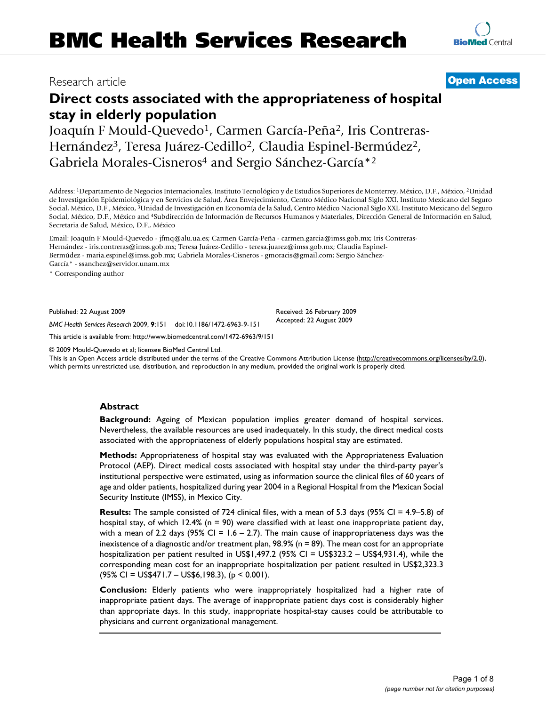## Research article

# **Direct costs associated with the appropriateness of hospital stay in elderly population**

Joaquín F Mould-Quevedo<sup>1</sup>, Carmen García-Peña<sup>2</sup>, Iris Contreras-Hernández<sup>3</sup>, Teresa Juárez-Cedillo<sup>2</sup>, Claudia Espinel-Bermúdez<sup>2</sup>, Gabriela Morales-Cisneros4 and Sergio Sánchez-García\*2

Address: 1Departamento de Negocios Internacionales, Instituto Tecnológico y de Estudios Superiores de Monterrey, México, D.F., México, 2Unidad de Investigación Epidemiológica y en Servicios de Salud, Área Envejecimiento, Centro Médico Nacional Siglo XXI, Instituto Mexicano del Seguro Social, México, D.F., México, 3Unidad de Investigación en Economía de la Salud, Centro Médico Nacional Siglo XXI, Instituto Mexicano del Seguro Social, México, D.F., México and 4Subdirección de Información de Recursos Humanos y Materiales, Dirección General de Información en Salud, Secretaria de Salud, México, D.F., México

Email: Joaquín F Mould-Quevedo - jfmq@alu.ua.es; Carmen García-Peña - carmen.garcia@imss.gob.mx; Iris Contreras-Hernández - iris.contreras@imss.gob.mx; Teresa Juárez-Cedillo - teresa.juarez@imss.gob.mx; Claudia Espinel-Bermúdez - maria.espinel@imss.gob.mx; Gabriela Morales-Cisneros - gmoracis@gmail.com; Sergio Sánchez-García\* - ssanchez@servidor.unam.mx

\* Corresponding author

Published: 22 August 2009

*BMC Health Services Research* 2009, **9**:151 doi:10.1186/1472-6963-9-151

[This article is available from: http://www.biomedcentral.com/1472-6963/9/151](http://www.biomedcentral.com/1472-6963/9/151)

© 2009 Mould-Quevedo et al; licensee BioMed Central Ltd.

This is an Open Access article distributed under the terms of the Creative Commons Attribution License [\(http://creativecommons.org/licenses/by/2.0\)](http://creativecommons.org/licenses/by/2.0), which permits unrestricted use, distribution, and reproduction in any medium, provided the original work is properly cited.

#### **Abstract**

**Background:** Ageing of Mexican population implies greater demand of hospital services. Nevertheless, the available resources are used inadequately. In this study, the direct medical costs associated with the appropriateness of elderly populations hospital stay are estimated.

**Methods:** Appropriateness of hospital stay was evaluated with the Appropriateness Evaluation Protocol (AEP). Direct medical costs associated with hospital stay under the third-party payer's institutional perspective were estimated, using as information source the clinical files of 60 years of age and older patients, hospitalized during year 2004 in a Regional Hospital from the Mexican Social Security Institute (IMSS), in Mexico City.

**Results:** The sample consisted of 724 clinical files, with a mean of 5.3 days (95% CI = 4.9–5.8) of hospital stay, of which 12.4% ( $n = 90$ ) were classified with at least one inappropriate patient day, with a mean of 2.2 days (95% CI =  $1.6 - 2.7$ ). The main cause of inappropriateness days was the inexistence of a diagnostic and/or treatment plan, 98.9% (n = 89). The mean cost for an appropriate hospitalization per patient resulted in US\$1,497.2 (95% CI = US\$323.2 – US\$4,931.4), while the corresponding mean cost for an inappropriate hospitalization per patient resulted in US\$2,323.3  $(95\% \text{ CI} = \text{US$471.7} - \text{US$6,198.3}, (p \leq 0.001).$ 

**Conclusion:** Elderly patients who were inappropriately hospitalized had a higher rate of inappropriate patient days. The average of inappropriate patient days cost is considerably higher than appropriate days. In this study, inappropriate hospital-stay causes could be attributable to physicians and current organizational management.

## **[Open Access](http://www.biomedcentral.com/info/about/charter/)**

Received: 26 February 2009 Accepted: 22 August 2009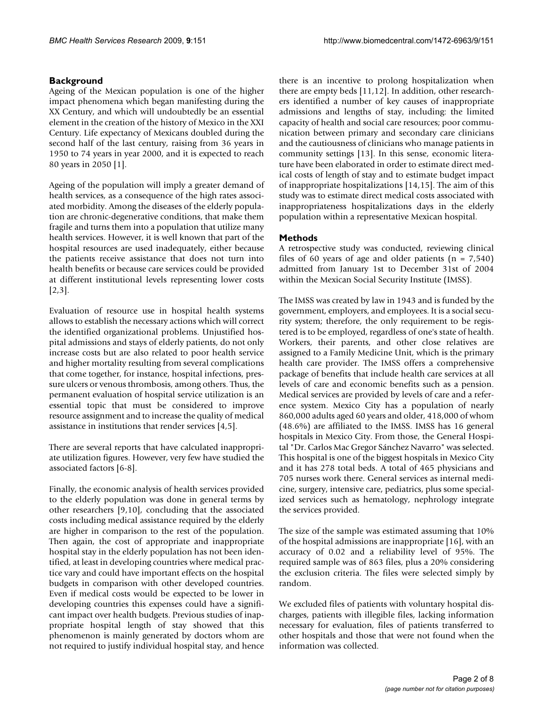## **Background**

Ageing of the Mexican population is one of the higher impact phenomena which began manifesting during the XX Century, and which will undoubtedly be an essential element in the creation of the history of Mexico in the XXI Century. Life expectancy of Mexicans doubled during the second half of the last century, raising from 36 years in 1950 to 74 years in year 2000, and it is expected to reach 80 years in 2050 [[1](#page-7-0)].

Ageing of the population will imply a greater demand of health services, as a consequence of the high rates associated morbidity. Among the diseases of the elderly population are chronic-degenerative conditions, that make them fragile and turns them into a population that utilize many health services. However, it is well known that part of the hospital resources are used inadequately, either because the patients receive assistance that does not turn into health benefits or because care services could be provided at different institutional levels representing lower costs  $[2,3]$  $[2,3]$  $[2,3]$ .

Evaluation of resource use in hospital health systems allows to establish the necessary actions which will correct the identified organizational problems. Unjustified hospital admissions and stays of elderly patients, do not only increase costs but are also related to poor health service and higher mortality resulting from several complications that come together, for instance, hospital infections, pressure ulcers or venous thrombosis, among others. Thus, the permanent evaluation of hospital service utilization is an essential topic that must be considered to improve resource assignment and to increase the quality of medical assistance in institutions that render services [\[4,](#page-7-3)[5](#page-7-4)].

There are several reports that have calculated inappropriate utilization figures. However, very few have studied the associated factors [\[6](#page-7-5)-[8\]](#page-7-6).

Finally, the economic analysis of health services provided to the elderly population was done in general terms by other researchers [\[9,](#page-7-7)[10\]](#page-7-8), concluding that the associated costs including medical assistance required by the elderly are higher in comparison to the rest of the population. Then again, the cost of appropriate and inappropriate hospital stay in the elderly population has not been identified, at least in developing countries where medical practice vary and could have important effects on the hospital budgets in comparison with other developed countries. Even if medical costs would be expected to be lower in developing countries this expenses could have a significant impact over health budgets. Previous studies of inappropriate hospital length of stay showed that this phenomenon is mainly generated by doctors whom are not required to justify individual hospital stay, and hence there is an incentive to prolong hospitalization when there are empty beds [[11](#page-7-9),[12\]](#page-7-10). In addition, other researchers identified a number of key causes of inappropriate admissions and lengths of stay, including: the limited capacity of health and social care resources; poor communication between primary and secondary care clinicians and the cautiousness of clinicians who manage patients in community settings [\[13](#page-7-11)]. In this sense, economic literature have been elaborated in order to estimate direct medical costs of length of stay and to estimate budget impact of inappropriate hospitalizations [[14,](#page-7-12)[15](#page-7-13)]. The aim of this study was to estimate direct medical costs associated with inappropriateness hospitalizations days in the elderly population within a representative Mexican hospital.

## **Methods**

A retrospective study was conducted, reviewing clinical files of 60 years of age and older patients  $(n = 7,540)$ admitted from January 1st to December 31st of 2004 within the Mexican Social Security Institute (IMSS).

The IMSS was created by law in 1943 and is funded by the government, employers, and employees. It is a social security system; therefore, the only requirement to be registered is to be employed, regardless of one's state of health. Workers, their parents, and other close relatives are assigned to a Family Medicine Unit, which is the primary health care provider. The IMSS offers a comprehensive package of benefits that include health care services at all levels of care and economic benefits such as a pension. Medical services are provided by levels of care and a reference system. Mexico City has a population of nearly 860,000 adults aged 60 years and older, 418,000 of whom (48.6%) are affiliated to the IMSS. IMSS has 16 general hospitals in Mexico City. From those, the General Hospital "Dr. Carlos Mac Gregor Sánchez Navarro" was selected. This hospital is one of the biggest hospitals in Mexico City and it has 278 total beds. A total of 465 physicians and 705 nurses work there. General services as internal medicine, surgery, intensive care, pediatrics, plus some specialized services such as hematology, nephrology integrate the services provided.

The size of the sample was estimated assuming that 10% of the hospital admissions are inappropriate [[16](#page-7-14)], with an accuracy of 0.02 and a reliability level of 95%. The required sample was of 863 files, plus a 20% considering the exclusion criteria. The files were selected simply by random.

We excluded files of patients with voluntary hospital discharges, patients with illegible files, lacking information necessary for evaluation, files of patients transferred to other hospitals and those that were not found when the information was collected.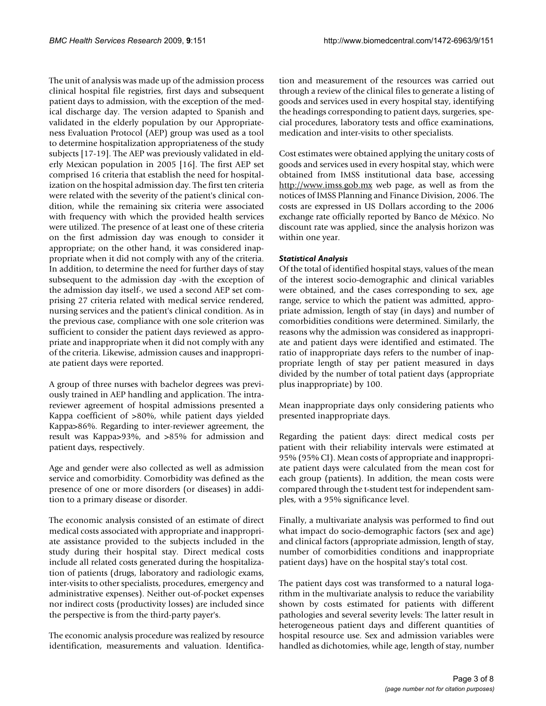The unit of analysis was made up of the admission process clinical hospital file registries, first days and subsequent patient days to admission, with the exception of the medical discharge day. The version adapted to Spanish and validated in the elderly population by our Appropriateness Evaluation Protocol (AEP) group was used as a tool to determine hospitalization appropriateness of the study subjects [\[17-](#page-7-15)[19\]](#page-7-16). The AEP was previously validated in elderly Mexican population in 2005 [[16\]](#page-7-14). The first AEP set comprised 16 criteria that establish the need for hospitalization on the hospital admission day. The first ten criteria were related with the severity of the patient's clinical condition, while the remaining six criteria were associated with frequency with which the provided health services were utilized. The presence of at least one of these criteria on the first admission day was enough to consider it appropriate; on the other hand, it was considered inappropriate when it did not comply with any of the criteria. In addition, to determine the need for further days of stay subsequent to the admission day -with the exception of the admission day itself-, we used a second AEP set comprising 27 criteria related with medical service rendered, nursing services and the patient's clinical condition. As in the previous case, compliance with one sole criterion was sufficient to consider the patient days reviewed as appropriate and inappropriate when it did not comply with any of the criteria. Likewise, admission causes and inappropriate patient days were reported.

A group of three nurses with bachelor degrees was previously trained in AEP handling and application. The intrareviewer agreement of hospital admissions presented a Kappa coefficient of >80%, while patient days yielded Kappa>86%. Regarding to inter-reviewer agreement, the result was Kappa>93%, and >85% for admission and patient days, respectively.

Age and gender were also collected as well as admission service and comorbidity. Comorbidity was defined as the presence of one or more disorders (or diseases) in addition to a primary disease or disorder.

The economic analysis consisted of an estimate of direct medical costs associated with appropriate and inappropriate assistance provided to the subjects included in the study during their hospital stay. Direct medical costs include all related costs generated during the hospitalization of patients (drugs, laboratory and radiologic exams, inter-visits to other specialists, procedures, emergency and administrative expenses). Neither out-of-pocket expenses nor indirect costs (productivity losses) are included since the perspective is from the third-party payer's.

The economic analysis procedure was realized by resource identification, measurements and valuation. Identification and measurement of the resources was carried out through a review of the clinical files to generate a listing of goods and services used in every hospital stay, identifying the headings corresponding to patient days, surgeries, special procedures, laboratory tests and office examinations, medication and inter-visits to other specialists.

Cost estimates were obtained applying the unitary costs of goods and services used in every hospital stay, which were obtained from IMSS institutional data base, accessing <http://www.imss.gob.mx>web page, as well as from the notices of IMSS Planning and Finance Division, 2006. The costs are expressed in US Dollars according to the 2006 exchange rate officially reported by Banco de México. No discount rate was applied, since the analysis horizon was within one year.

## *Statistical Analysis*

Of the total of identified hospital stays, values of the mean of the interest socio-demographic and clinical variables were obtained, and the cases corresponding to sex, age range, service to which the patient was admitted, appropriate admission, length of stay (in days) and number of comorbidities conditions were determined. Similarly, the reasons why the admission was considered as inappropriate and patient days were identified and estimated. The ratio of inappropriate days refers to the number of inappropriate length of stay per patient measured in days divided by the number of total patient days (appropriate plus inappropriate) by 100.

Mean inappropriate days only considering patients who presented inappropriate days.

Regarding the patient days: direct medical costs per patient with their reliability intervals were estimated at 95% (95% CI). Mean costs of appropriate and inappropriate patient days were calculated from the mean cost for each group (patients). In addition, the mean costs were compared through the t-student test for independent samples, with a 95% significance level.

Finally, a multivariate analysis was performed to find out what impact do socio-demographic factors (sex and age) and clinical factors (appropriate admission, length of stay, number of comorbidities conditions and inappropriate patient days) have on the hospital stay's total cost.

The patient days cost was transformed to a natural logarithm in the multivariate analysis to reduce the variability shown by costs estimated for patients with different pathologies and several severity levels: The latter result in heterogeneous patient days and different quantities of hospital resource use. Sex and admission variables were handled as dichotomies, while age, length of stay, number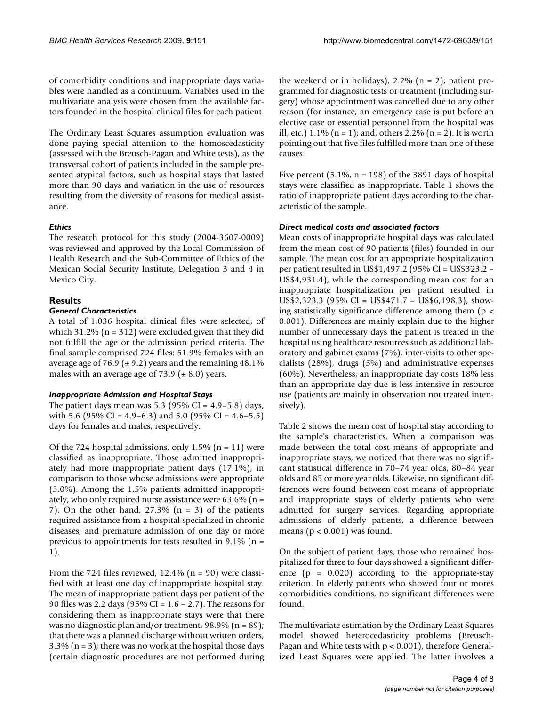of comorbidity conditions and inappropriate days variables were handled as a continuum. Variables used in the multivariate analysis were chosen from the available factors founded in the hospital clinical files for each patient.

The Ordinary Least Squares assumption evaluation was done paying special attention to the homoscedasticity (assessed with the Breusch-Pagan and White tests), as the transversal cohort of patients included in the sample presented atypical factors, such as hospital stays that lasted more than 90 days and variation in the use of resources resulting from the diversity of reasons for medical assistance.

## *Ethics*

The research protocol for this study (2004-3607-0009) was reviewed and approved by the Local Commission of Health Research and the Sub-Committee of Ethics of the Mexican Social Security Institute, Delegation 3 and 4 in Mexico City.

## **Results**

## *General Characteristics*

A total of 1,036 hospital clinical files were selected, of which  $31.2\%$  (n =  $312$ ) were excluded given that they did not fulfill the age or the admission period criteria. The final sample comprised 724 files: 51.9% females with an average age of 76.9 ( $\pm$  9.2) years and the remaining 48.1% males with an average age of 73.9 ( $\pm$  8.0) years.

## *Inappropriate Admission and Hospital Stays*

The patient days mean was  $5.3$  (95% CI =  $4.9-5.8$ ) days, with 5.6 (95% CI = 4.9–6.3) and 5.0 (95% CI = 4.6–5.5) days for females and males, respectively.

Of the 724 hospital admissions, only 1.5% ( $n = 11$ ) were classified as inappropriate. Those admitted inappropriately had more inappropriate patient days (17.1%), in comparison to those whose admissions were appropriate (5.0%). Among the 1.5% patients admitted inappropriately, who only required nurse assistance were  $63.6\%$  (n = 7). On the other hand,  $27.3\%$  (n = 3) of the patients required assistance from a hospital specialized in chronic diseases; and premature admission of one day or more previous to appointments for tests resulted in 9.1% (n = 1).

From the 724 files reviewed,  $12.4\%$  (n = 90) were classified with at least one day of inappropriate hospital stay. The mean of inappropriate patient days per patient of the 90 files was 2.2 days (95% CI = 1.6 – 2.7). The reasons for considering them as inappropriate stays were that there was no diagnostic plan and/or treatment, 98.9% ( $n = 89$ ); that there was a planned discharge without written orders, 3.3% ( $n = 3$ ); there was no work at the hospital those days (certain diagnostic procedures are not performed during the weekend or in holidays), 2.2% ( $n = 2$ ); patient programmed for diagnostic tests or treatment (including surgery) whose appointment was cancelled due to any other reason (for instance, an emergency case is put before an elective case or essential personnel from the hospital was ill, etc.)  $1.1\%$  (n = 1); and, others 2.2% (n = 2). It is worth pointing out that five files fulfilled more than one of these causes.

Five percent  $(5.1\%, n = 198)$  of the 3891 days of hospital stays were classified as inappropriate. Table [1](#page-4-0) shows the ratio of inappropriate patient days according to the characteristic of the sample.

## *Direct medical costs and associated factors*

Mean costs of inappropriate hospital days was calculated from the mean cost of 90 patients (files) founded in our sample. The mean cost for an appropriate hospitalization per patient resulted in US\$1,497.2 (95% CI = US\$323.2 – US\$4,931.4), while the corresponding mean cost for an inappropriate hospitalization per patient resulted in US\$2,323.3 (95% CI = US\$471.7 – US\$6,198.3), showing statistically significance difference among them ( $p <$ 0.001). Differences are mainly explain due to the higher number of unnecessary days the patient is treated in the hospital using healthcare resources such as additional laboratory and gabinet exams (7%), inter-visits to other specialists (28%), drugs (5%) and administrative expenses (60%). Nevertheless, an inappropriate day costs 18% less than an appropriate day due is less intensive in resource use (patients are mainly in observation not treated intensively).

Table [2](#page-5-0) shows the mean cost of hospital stay according to the sample's characteristics. When a comparison was made between the total cost means of appropriate and inappropriate stays, we noticed that there was no significant statistical difference in 70–74 year olds, 80–84 year olds and 85 or more year olds. Likewise, no significant differences were found between cost means of appropriate and inappropriate stays of elderly patients who were admitted for surgery services. Regarding appropriate admissions of elderly patients, a difference between means ( $p < 0.001$ ) was found.

On the subject of patient days, those who remained hospitalized for three to four days showed a significant difference  $(p = 0.020)$  according to the appropriate-stay criterion. In elderly patients who showed four or mores comorbidities conditions, no significant differences were found.

The multivariate estimation by the Ordinary Least Squares model showed heterocedasticity problems (Breusch-Pagan and White tests with p < 0.001), therefore Generalized Least Squares were applied. The latter involves a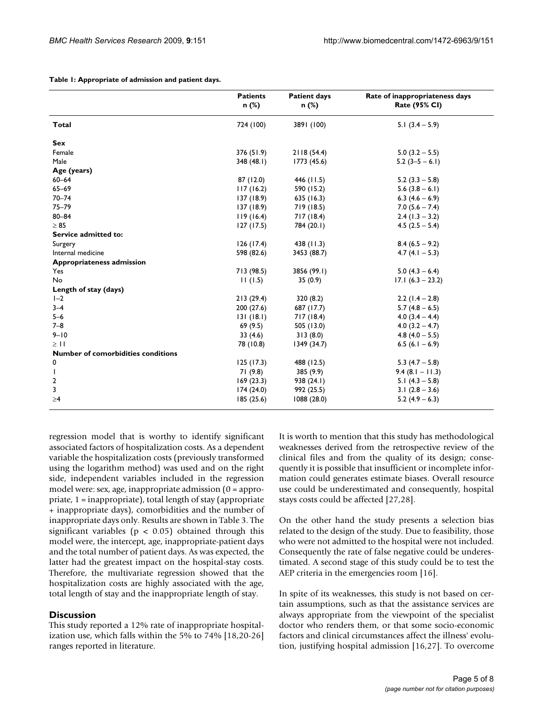| Rate (95% CI)       |
|---------------------|
|                     |
| $5.1(3.4 - 5.9)$    |
|                     |
| $5.0(3.2 - 5.5)$    |
| $5.2(3-5-6.1)$      |
|                     |
| $5.2(3.3 - 5.8)$    |
| $5.6(3.8-6.1)$      |
| 6.3 $(4.6 - 6.9)$   |
| $7.0$ $(5.6 - 7.4)$ |
| $2.4(1.3 - 3.2)$    |
| $4.5(2.5 - 5.4)$    |
|                     |
| $8.4(6.5 - 9.2)$    |
| $4.7(4.1 - 5.3)$    |
|                     |
| $5.0(4.3 - 6.4)$    |
| $17.1 (6.3 - 23.2)$ |
|                     |
| $2.2$ (1.4 – 2.8)   |
| $5.7(4.8-6.5)$      |
| $4.0(3.4 - 4.4)$    |
| $4.0(3.2 - 4.7)$    |
| $4.8(4.0 - 5.5)$    |
| $6.5(6.1 - 6.9)$    |
|                     |
| $5.3$ (4.7 – 5.8)   |
| $9.4(8.1 - 11.3)$   |
| 5.1 $(4.3 - 5.8)$   |
| 3.1 $(2.8 - 3.6)$   |
| $5.2(4.9 - 6.3)$    |
|                     |

<span id="page-4-0"></span>**Table 1: Appropriate of admission and patient days.**

regression model that is worthy to identify significant associated factors of hospitalization costs. As a dependent variable the hospitalization costs (previously transformed using the logarithm method) was used and on the right side, independent variables included in the regression model were: sex, age, inappropriate admission  $(0 =$  appropriate, 1 = inappropriate), total length of stay (appropriate + inappropriate days), comorbidities and the number of inappropriate days only. Results are shown in Table [3](#page-5-1). The significant variables ( $p < 0.05$ ) obtained through this model were, the intercept, age, inappropriate-patient days and the total number of patient days. As was expected, the latter had the greatest impact on the hospital-stay costs. Therefore, the multivariate regression showed that the hospitalization costs are highly associated with the age, total length of stay and the inappropriate length of stay.

## **Discussion**

This study reported a 12% rate of inappropriate hospitalization use, which falls within the 5% to 74% [[18](#page-7-17),[20-](#page-7-18)[26\]](#page-7-19) ranges reported in literature.

It is worth to mention that this study has methodological weaknesses derived from the retrospective review of the clinical files and from the quality of its design; consequently it is possible that insufficient or incomplete information could generates estimate biases. Overall resource use could be underestimated and consequently, hospital stays costs could be affected [\[27](#page-7-20)[,28](#page-7-21)].

On the other hand the study presents a selection bias related to the design of the study. Due to feasibility, those who were not admitted to the hospital were not included. Consequently the rate of false negative could be underestimated. A second stage of this study could be to test the AEP criteria in the emergencies room [\[16](#page-7-14)].

In spite of its weaknesses, this study is not based on certain assumptions, such as that the assistance services are always appropriate from the viewpoint of the specialist doctor who renders them, or that some socio-economic factors and clinical circumstances affect the illness' evolution, justifying hospital admission [[16,](#page-7-14)[27\]](#page-7-20). To overcome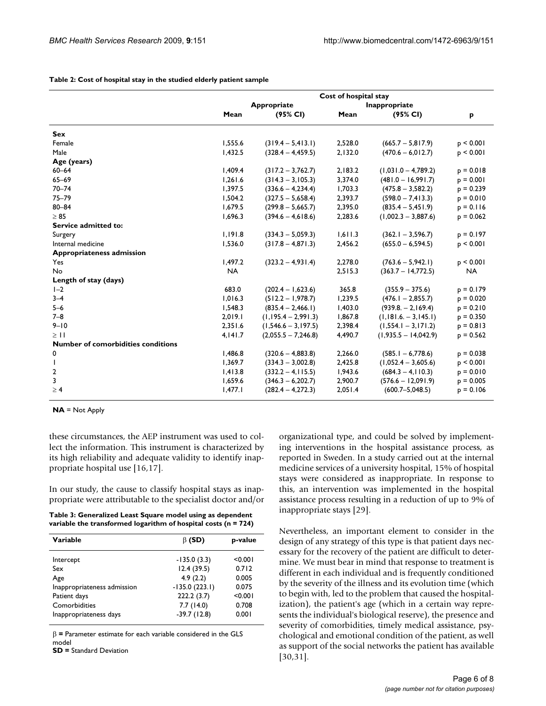|                                           | Cost of hospital stay |                        |               |                         |             |
|-------------------------------------------|-----------------------|------------------------|---------------|-------------------------|-------------|
|                                           | <b>Appropriate</b>    |                        | Inappropriate |                         |             |
|                                           | Mean                  | (95% CI)               | Mean          | (95% CI)                | P           |
| Sex                                       |                       |                        |               |                         |             |
| Female                                    | 1,555.6               | $(319.4 - 5, 413.1)$   | 2,528.0       | $(665.7 - 5,817.9)$     | p < 0.001   |
| Male                                      | 1.432.5               | $(328.4 - 4, 459.5)$   | 2,132.0       | $(470.6 - 6.012.7)$     | p < 0.001   |
| Age (years)                               |                       |                        |               |                         |             |
| $60 - 64$                                 | 1,409.4               | $(317.2 - 3,762.7)$    | 2,183.2       | $(1,031.0 - 4,789.2)$   | $p = 0.018$ |
| $65 - 69$                                 | 1,261.6               | $(314.3 - 3, 105.3)$   | 3,374.0       | $(481.0 - 16,991.7)$    | $p = 0.001$ |
| $70 - 74$                                 | 1,397.5               | $(336.6 - 4, 234.4)$   | 1,703.3       | $(475.8 - 3,582.2)$     | $p = 0.239$ |
| $75 - 79$                                 | 1,504.2               | $(327.5 - 5,658.4)$    | 2.393.7       | $(598.0 - 7, 413.3)$    | $p = 0.010$ |
| $80 - 84$                                 | 1.679.5               | $(299.8 - 5,665.7)$    | 2,395.0       | $(835.4 - 5,451.9)$     | $p = 0.116$ |
| > 85                                      | 1,696.3               | $(394.6 - 4, 618.6)$   | 2,283.6       | $(1,002.3 - 3,887.6)$   | $p = 0.062$ |
| Service admitted to:                      |                       |                        |               |                         |             |
| Surgery                                   | 1,191.8               | $(334.3 - 5,059.3)$    | 1,611.3       | $(362.1 - 3,596.7)$     | $p = 0.197$ |
| Internal medicine                         | 1,536.0               | $(317.8 - 4.871.3)$    | 2,456.2       | $(655.0 - 6,594.5)$     | p < 0.001   |
| <b>Appropriateness admission</b>          |                       |                        |               |                         |             |
| Yes                                       | 1,497.2               | $(323.2 - 4.931.4)$    | 2,278.0       | $(763.6 - 5,942.1)$     | p < 0.001   |
| No                                        | <b>NA</b>             |                        | 2,515.3       | $(363.7 - 14,772.5)$    | <b>NA</b>   |
| Length of stay (days)                     |                       |                        |               |                         |             |
| $1-2$                                     | 683.0                 | $(202.4 - 1,623.6)$    | 365.8         | $(355.9 - 375.6)$       | $p = 0.179$ |
| $3 - 4$                                   | 1,016.3               | $(512.2 - 1,978.7)$    | 1,239.5       | $(476.1 - 2,855.7)$     | $p = 0.020$ |
| $5 - 6$                                   | 1,548.3               | $(835.4 - 2,466.1)$    | 1,403.0       | $(939.8. - 2, 169.4)$   | $p = 0.210$ |
| $7 - 8$                                   | 2,019.1               | $(1, 195.4 - 2,991.3)$ | 1,867.8       | $(1, 181.6 - 3, 145.1)$ | $p = 0.350$ |
| $9 - 10$                                  | 2.351.6               | $(1,546.6 - 3,197.5)$  | 2.398.4       | $(1.554.1 - 3.171.2)$   | $p = 0.813$ |
| $\geq$ 11                                 | 4,141.7               | $(2,055.5 - 7,246.8)$  | 4.490.7       | $(1,935.5 - 14,042.9)$  | $p = 0.562$ |
| <b>Number of comorbidities conditions</b> |                       |                        |               |                         |             |
| 0                                         | 1,486.8               | $(320.6 - 4,883.8)$    | 2,266.0       | $(585.1 - 6,778.6)$     | $p = 0.038$ |
| $\mathbf{I}$                              | 1,369.7               | $(334.3 - 3,002.8)$    | 2,425.8       | $(1,052.4 - 3,605.6)$   | p < 0.001   |
| $\overline{\mathbf{c}}$                   | 1,413.8               | $(332.2 - 4, 115.5)$   | 1,943.6       | $(684.3 - 4, 110.3)$    | $p = 0.010$ |
| 3                                         | 1,659.6               | $(346.3 - 6,202.7)$    | 2,900.7       | $(576.6 - 12,091.9)$    | $p = 0.005$ |
| $\geq 4$                                  | 1,477.1               | $(282.4 - 4, 272.3)$   | 2,051.4       | $(600.7 - 5, 048.5)$    | $p = 0.106$ |

<span id="page-5-0"></span>**Table 2: Cost of hospital stay in the studied elderly patient sample**

**NA** = Not Apply

these circumstances, the AEP instrument was used to collect the information. This instrument is characterized by its high reliability and adequate validity to identify inappropriate hospital use [\[16](#page-7-14)[,17](#page-7-15)].

In our study, the cause to classify hospital stays as inappropriate were attributable to the specialist doctor and/or

<span id="page-5-1"></span>

| Table 3: Generalized Least Square model using as dependent         |
|--------------------------------------------------------------------|
| variable the transformed logarithm of hospital costs ( $n = 724$ ) |

| Variable                    | $\beta$ (SD)    | p-value |
|-----------------------------|-----------------|---------|
| Intercept                   | $-135.0(3.3)$   | < 0.001 |
| Sex                         | 12.4(39.5)      | 0.712   |
| Age                         | 4.9(2.2)        | 0.005   |
| Inappropriateness admission | $-135.0(223.1)$ | 0.075   |
| Patient days                | 222.2(3.7)      | < 0.001 |
| Comorbidities               | 7.7(14.0)       | 0.708   |
| Inappropriateness days      | $-39.7(12.8)$   | 0.001   |

β **=** Parameter estimate for each variable considered in the GLS model

**SD =** Standard Deviation

organizational type, and could be solved by implementing interventions in the hospital assistance process, as reported in Sweden. In a study carried out at the internal medicine services of a university hospital, 15% of hospital stays were considered as inappropriate. In response to this, an intervention was implemented in the hospital assistance process resulting in a reduction of up to 9% of inappropriate stays [\[29](#page-7-22)].

Nevertheless, an important element to consider in the design of any strategy of this type is that patient days necessary for the recovery of the patient are difficult to determine. We must bear in mind that response to treatment is different in each individual and is frequently conditioned by the severity of the illness and its evolution time (which to begin with, led to the problem that caused the hospitalization), the patient's age (which in a certain way represents the individual's biological reserve), the presence and severity of comorbidities, timely medical assistance, psychological and emotional condition of the patient, as well as support of the social networks the patient has available [[30](#page-7-23),[31\]](#page-7-24).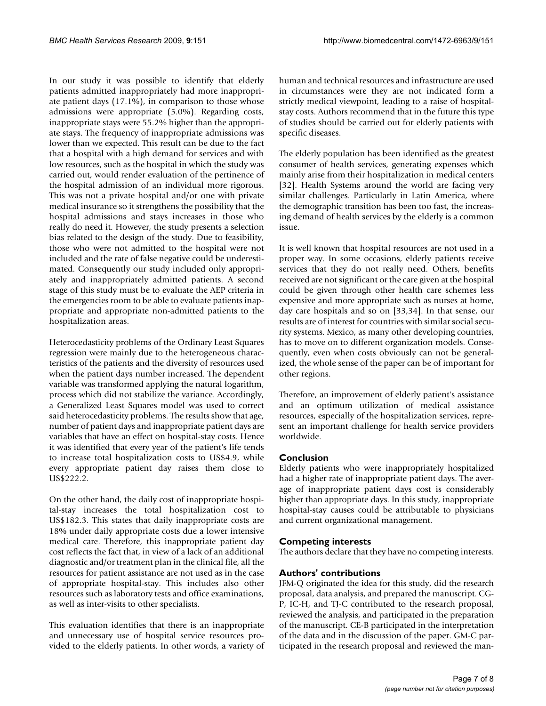In our study it was possible to identify that elderly patients admitted inappropriately had more inappropriate patient days (17.1%), in comparison to those whose admissions were appropriate (5.0%). Regarding costs, inappropriate stays were 55.2% higher than the appropriate stays. The frequency of inappropriate admissions was lower than we expected. This result can be due to the fact that a hospital with a high demand for services and with low resources, such as the hospital in which the study was carried out, would render evaluation of the pertinence of the hospital admission of an individual more rigorous. This was not a private hospital and/or one with private medical insurance so it strengthens the possibility that the hospital admissions and stays increases in those who really do need it. However, the study presents a selection bias related to the design of the study. Due to feasibility, those who were not admitted to the hospital were not included and the rate of false negative could be underestimated. Consequently our study included only appropriately and inappropriately admitted patients. A second stage of this study must be to evaluate the AEP criteria in the emergencies room to be able to evaluate patients inappropriate and appropriate non-admitted patients to the hospitalization areas.

Heterocedasticity problems of the Ordinary Least Squares regression were mainly due to the heterogeneous characteristics of the patients and the diversity of resources used when the patient days number increased. The dependent variable was transformed applying the natural logarithm, process which did not stabilize the variance. Accordingly, a Generalized Least Squares model was used to correct said heterocedasticity problems. The results show that age, number of patient days and inappropriate patient days are variables that have an effect on hospital-stay costs. Hence it was identified that every year of the patient's life tends to increase total hospitalization costs to US\$4.9, while every appropriate patient day raises them close to US\$222.2.

On the other hand, the daily cost of inappropriate hospital-stay increases the total hospitalization cost to US\$182.3. This states that daily inappropriate costs are 18% under daily appropriate costs due a lower intensive medical care. Therefore, this inappropriate patient day cost reflects the fact that, in view of a lack of an additional diagnostic and/or treatment plan in the clinical file, all the resources for patient assistance are not used as in the case of appropriate hospital-stay. This includes also other resources such as laboratory tests and office examinations, as well as inter-visits to other specialists.

This evaluation identifies that there is an inappropriate and unnecessary use of hospital service resources provided to the elderly patients. In other words, a variety of human and technical resources and infrastructure are used in circumstances were they are not indicated form a strictly medical viewpoint, leading to a raise of hospitalstay costs. Authors recommend that in the future this type of studies should be carried out for elderly patients with specific diseases.

The elderly population has been identified as the greatest consumer of health services, generating expenses which mainly arise from their hospitalization in medical centers [[32](#page-7-25)]. Health Systems around the world are facing very similar challenges. Particularly in Latin America, where the demographic transition has been too fast, the increasing demand of health services by the elderly is a common issue.

It is well known that hospital resources are not used in a proper way. In some occasions, elderly patients receive services that they do not really need. Others, benefits received are not significant or the care given at the hospital could be given through other health care schemes less expensive and more appropriate such as nurses at home, day care hospitals and so on [[33](#page-7-26),[34\]](#page-7-27). In that sense, our results are of interest for countries with similar social security systems. Mexico, as many other developing countries, has to move on to different organization models. Consequently, even when costs obviously can not be generalized, the whole sense of the paper can be of important for other regions.

Therefore, an improvement of elderly patient's assistance and an optimum utilization of medical assistance resources, especially of the hospitalization services, represent an important challenge for health service providers worldwide.

#### **Conclusion**

Elderly patients who were inappropriately hospitalized had a higher rate of inappropriate patient days. The average of inappropriate patient days cost is considerably higher than appropriate days. In this study, inappropriate hospital-stay causes could be attributable to physicians and current organizational management.

#### **Competing interests**

The authors declare that they have no competing interests.

#### **Authors' contributions**

JFM-Q originated the idea for this study, did the research proposal, data analysis, and prepared the manuscript. CG-P, IC-H, and TJ-C contributed to the research proposal, reviewed the analysis, and participated in the preparation of the manuscript. CE-B participated in the interpretation of the data and in the discussion of the paper. GM-C participated in the research proposal and reviewed the man